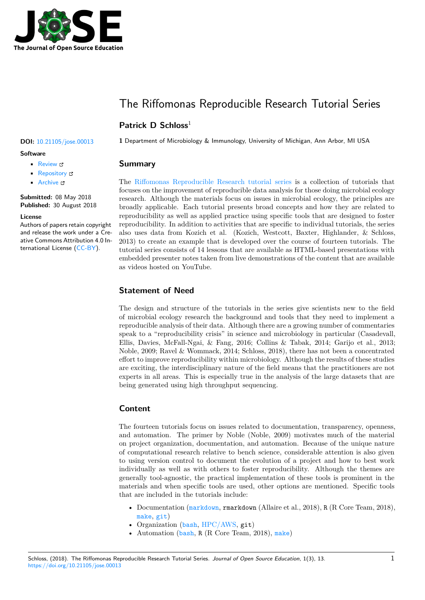

# The Riffomonas Reproducible Research Tutorial Series

# **Patrick D Schloss**<sup>1</sup>

#### **Software**

- Review &
- [Repository](https://doi.org/10.21105/jose.00013)  $C$
- Archive L'

**Subm[itted:](https://github.com/openjournals/jose-reviews/issues/13)** 08 May 2018 **Published:** [30 Au](https://github.com/riffomonas/reproducible_research)gust 2018

#### **Licen[se](https://doi.org/10.5281/zenodo.1404230)**

Authors of papers retain copyright and release the work under a Creative Commons Attribution 4.0 International License (CC-BY).

**DOI:** 10.21105/jose.00013 **1** Department of Microbiology & Immunology, University of Michigan, Ann Arbor, MI USA

### **Summary**

The Riffomonas Reproducible Research tutorial series is a collection of tutorials that focuses on the improvement of reproducible data analysis for those doing microbial ecology research. Although the materials focus on issues in microbial ecology, the principles are broadly applicable. Each tutorial presents broad concepts and how they are related to repr[oducibility as well as applied practice using specific](https://www.riffomonas.org/reproducible_research) tools that are designed to foster reproducibility. In addition to activities that are specific to individual tutorials, the series also uses data from Kozich et al. (Kozich, Westcott, Baxter, Highlander, & Schloss, 2013) to create an example that is developed over the course of fourteen tutorials. The tutorial series consists of 14 lessons that are available as HTML-based presentations with embedded presenter notes taken from live demonstrations of the content that are available as videos hosted on YouTube.

## **Statement of Need**

The design and structure of the tutorials in the series give scientists new to the field of microbial ecology research the background and tools that they need to implement a reproducible analysis of their data. Although there are a growing number of commentaries speak to a "reproducibility crisis" in science and microbiology in particular (Casadevall, Ellis, Davies, McFall-Ngai, & Fang, 2016; Collins & Tabak, 2014; Garijo et al., 2013; Noble, 2009; Ravel & Wommack, 2014; Schloss, 2018), there has not been a concentrated effort to improve reproducibility within microbiology. Although the results of these studies are exciting, the interdisciplinary nature of the field means that the practitioners are not experts in all areas. This is especially true in the analysis of the large datasets that are being generated using high throughput sequencing.

#### **Content**

The fourteen tutorials focus on issues related to documentation, transparency, openness, and automation. The primer by Noble (Noble, 2009) motivates much of the material on project organization, documentation, and automation. Because of the unique nature of computational research relative to bench science, considerable attention is also given to using version control to document the evolution of a project and how to best work individually as well as with others to foster reproducibility. Although the themes are generally tool-agnostic, the practical implementation of these tools is prominent in the materials and when specific tools are used, other options are mentioned. Specific tools that are included in the tutorials include:

- Documentation ( $\frac{\text{markdown}}{\text{markdown}}$ ,  $\frac{\text{rmarkdown}}{\text{Alaire et al., 2018}}$ ), R (R Core Team, 2018), make, git)
- Organization (bash, HPC/AWS, git)
- Automation (bash, R (R Core Team, 2018), make)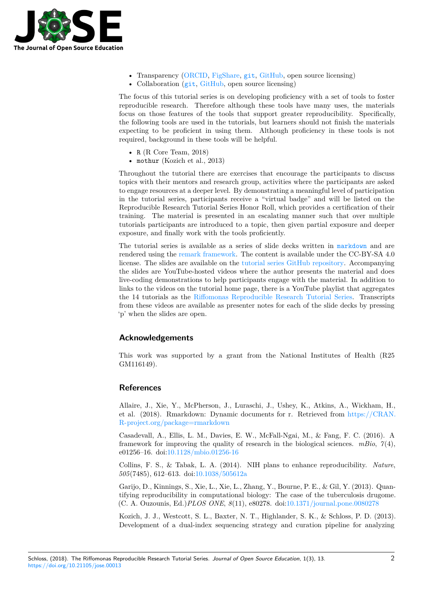

- Transparency (ORCID, FigShare, git, GitHub, open source licensing)
- Collaboration (git, GitHub, open source licensing)

The focus of this tutorial series is on developing proficiency with a set of tools to foster reproducible research. Therefore although these tools have many uses, the materials focus on those feat[ures of t](https://orcid.org)[he tools t](https://figshare.com)h[at s](https://git-scm.com)[upport g](https://github.com)reater reproducibility. Specifically, the following tools a[re us](https://git-scm.com)[ed in the](https://github.com) tutorials, but learners should not finish the materials expecting to be proficient in using them. Although proficiency in these tools is not required, background in these tools will be helpful.

- R  $(R \tCorce Team, 2018)$
- mothur (Kozich et al., 2013)

Throughout the tutorial there are exercises that encourage the participants to discuss topics with their mentors and research group, activities where the participants are asked to engage resources at a deeper level. By demonstrating a meaningful level of participation in the tutorial series, participants receive a "virtual badge" and will be listed on the Reproducible Research Tutorial Series Honor Roll, which provides a certification of their training. The material is presented in an escalating manner such that over multiple tutorials participants are introduced to a topic, then given partial exposure and deeper exposure, and finally work with the tools proficiently.

The tutorial series is available as a series of slide decks written in markdown and are rendered using the remark framework. The content is available under the CC-BY-SA 4.0 license. The slides are available on the tutorial series GitHub repository. Accompanying the slides are YouTube-hosted videos where the author presents the material and does live-coding demonstrations to help participants engage with the mate[rial. In ad](https://daringfireball.net/projects/markdown/syntax)dition to links to the videos [on the tutorial hom](https://remarkjs.com)e page, there is a YouTube playlist that aggregates the 14 tutorials as the Riffomonas Re[producible Research Tutorial Ser](https://github.com/riffomonas/reproducible_research)ies. Transcripts from these videos are available as presenter notes for each of the slide decks by pressing 'p' when the slides are open.

#### **Acknowledgements**

This work was supported by a grant from the National Institutes of Health (R25 GM116149).

#### **References**

Allaire, J., Xie, Y., McPherson, J., Luraschi, J., Ushey, K., Atkins, A., Wickham, H., et al. (2018). Rmarkdown: Dynamic documents for r. Retrieved from https://CRAN. R-project.org/package=rmarkdown

Casadevall, A., Ellis, L. M., Davies, E. W., McFall-Ngai, M., & Fang, F. C. (2016). A framework for improving the quality of research in the biological sciences. *[mBio](https://CRAN.R-project.org/package=rmarkdown)*, *7*(4), [e01256–16. doi:10.1128/mbio.01256-](https://CRAN.R-project.org/package=rmarkdown)16

Collins, F. S., & Tabak, L. A. (2014). NIH plans to enhance reproducibility. *Nature*, *505*(7485), 612–613. doi:10.1038/505612a

Garijo, D., Kin[nings, S., Xie, L., Xie, L.](https://doi.org/10.1128/mbio.01256-16), Zhang, Y., Bourne, P. E., & Gil, Y. (2013). Quantifying reproducibility in computational biology: The case of the tuberculosis drugome. (C. A. Ouzounis, Ed.)*P[LOS ONE](https://doi.org/10.1038/505612a)*, *8*(11), e80278. doi:10.1371/journal.pone.0080278

Kozich, J. J., Westcott, S. L., Baxter, N. T., Highlander, S. K., & Schloss, P. D. (2013). Development of a dual-index sequencing strategy and curation pipeline for analyzing